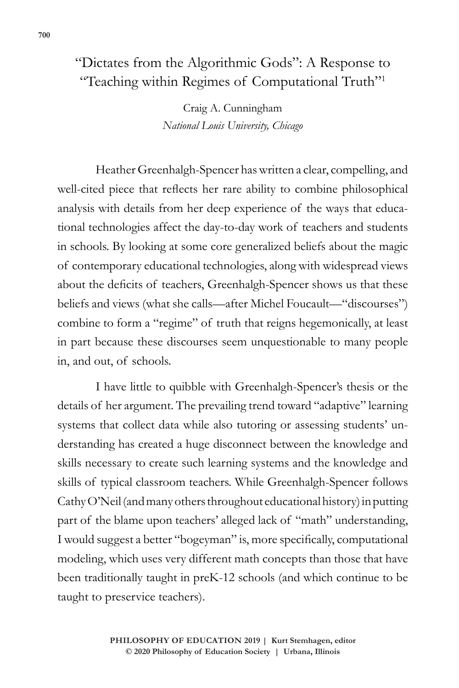## "Dictates from the Algorithmic Gods": A Response to "Teaching within Regimes of Computational Truth"1

**700 "Dictates from the Algorithmic Gods"**

Craig A. Cunningham *National Louis University, Chicago*

Heather Greenhalgh-Spencer has written a clear, compelling, and well-cited piece that reflects her rare ability to combine philosophical analysis with details from her deep experience of the ways that educational technologies affect the day-to-day work of teachers and students in schools. By looking at some core generalized beliefs about the magic of contemporary educational technologies, along with widespread views about the deficits of teachers, Greenhalgh-Spencer shows us that these beliefs and views (what she calls—after Michel Foucault—"discourses") combine to form a "regime" of truth that reigns hegemonically, at least in part because these discourses seem unquestionable to many people in, and out, of schools.

I have little to quibble with Greenhalgh-Spencer's thesis or the details of her argument. The prevailing trend toward "adaptive" learning systems that collect data while also tutoring or assessing students' understanding has created a huge disconnect between the knowledge and skills necessary to create such learning systems and the knowledge and skills of typical classroom teachers. While Greenhalgh-Spencer follows Cathy O'Neil (and many others throughout educational history) in putting part of the blame upon teachers' alleged lack of "math" understanding, I would suggest a better "bogeyman" is, more specifically, computational modeling, which uses very different math concepts than those that have been traditionally taught in preK-12 schools (and which continue to be taught to preservice teachers).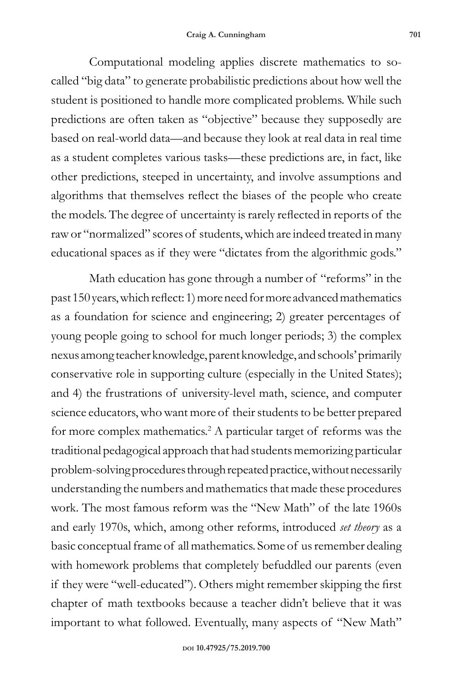Computational modeling applies discrete mathematics to socalled "big data" to generate probabilistic predictions about how well the student is positioned to handle more complicated problems. While such predictions are often taken as "objective" because they supposedly are based on real-world data—and because they look at real data in real time as a student completes various tasks—these predictions are, in fact, like other predictions, steeped in uncertainty, and involve assumptions and algorithms that themselves reflect the biases of the people who create the models. The degree of uncertainty is rarely reflected in reports of the raw or "normalized" scores of students, which are indeed treated in many educational spaces as if they were "dictates from the algorithmic gods."

Math education has gone through a number of "reforms" in the past 150 years, which reflect: 1) more need for more advanced mathematics as a foundation for science and engineering; 2) greater percentages of young people going to school for much longer periods; 3) the complex nexus among teacher knowledge, parent knowledge, and schools' primarily conservative role in supporting culture (especially in the United States); and 4) the frustrations of university-level math, science, and computer science educators, who want more of their students to be better prepared for more complex mathematics.<sup>2</sup> A particular target of reforms was the traditional pedagogical approach that had students memorizing particular problem-solving procedures through repeated practice, without necessarily understanding the numbers and mathematics that made these procedures work. The most famous reform was the "New Math" of the late 1960s and early 1970s, which, among other reforms, introduced *set theory* as a basic conceptual frame of all mathematics. Some of us remember dealing with homework problems that completely befuddled our parents (even if they were "well-educated"). Others might remember skipping the first chapter of math textbooks because a teacher didn't believe that it was important to what followed. Eventually, many aspects of "New Math"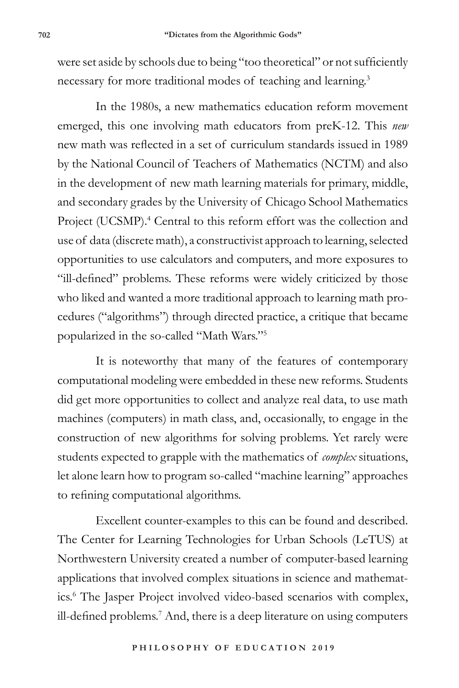were set aside by schools due to being "too theoretical" or not sufficiently necessary for more traditional modes of teaching and learning.3

In the 1980s, a new mathematics education reform movement emerged, this one involving math educators from preK-12. This *new* new math was reflected in a set of curriculum standards issued in 1989 by the National Council of Teachers of Mathematics (NCTM) and also in the development of new math learning materials for primary, middle, and secondary grades by the University of Chicago School Mathematics Project (UCSMP).<sup>4</sup> Central to this reform effort was the collection and use of data (discrete math), a constructivist approach to learning, selected opportunities to use calculators and computers, and more exposures to "ill-defined" problems. These reforms were widely criticized by those who liked and wanted a more traditional approach to learning math procedures ("algorithms") through directed practice, a critique that became popularized in the so-called "Math Wars."<sup>5</sup>

It is noteworthy that many of the features of contemporary computational modeling were embedded in these new reforms. Students did get more opportunities to collect and analyze real data, to use math machines (computers) in math class, and, occasionally, to engage in the construction of new algorithms for solving problems. Yet rarely were students expected to grapple with the mathematics of *complex* situations, let alone learn how to program so-called "machine learning" approaches to refining computational algorithms.

Excellent counter-examples to this can be found and described. The Center for Learning Technologies for Urban Schools (LeTUS) at Northwestern University created a number of computer-based learning applications that involved complex situations in science and mathematics.<sup>6</sup> The Jasper Project involved video-based scenarios with complex, ill-defined problems.<sup>7</sup> And, there is a deep literature on using computers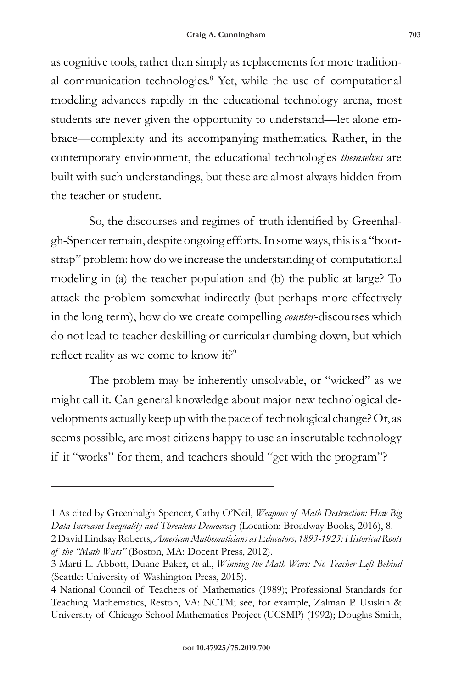as cognitive tools, rather than simply as replacements for more traditional communication technologies.<sup>8</sup> Yet, while the use of computational modeling advances rapidly in the educational technology arena, most students are never given the opportunity to understand—let alone embrace—complexity and its accompanying mathematics. Rather, in the contemporary environment, the educational technologies *themselves* are built with such understandings, but these are almost always hidden from the teacher or student.

So, the discourses and regimes of truth identified by Greenhalgh-Spencer remain, despite ongoing efforts. In some ways, this is a "bootstrap" problem: how do we increase the understanding of computational modeling in (a) the teacher population and (b) the public at large? To attack the problem somewhat indirectly (but perhaps more effectively in the long term), how do we create compelling *counter*-discourses which do not lead to teacher deskilling or curricular dumbing down, but which reflect reality as we come to know it?<sup>9</sup>

The problem may be inherently unsolvable, or "wicked" as we might call it. Can general knowledge about major new technological developments actually keep up with the pace of technological change? Or, as seems possible, are most citizens happy to use an inscrutable technology if it "works" for them, and teachers should "get with the program"?

<sup>1</sup> As cited by Greenhalgh-Spencer, Cathy O'Neil, *Weapons of Math Destruction: How Big Data Increases Inequality and Threatens Democracy* (Location: Broadway Books, 2016), 8.

<sup>2</sup> David Lindsay Roberts, *American Mathematicians as Educators, 1893-1923: Historical Roots of the "Math Wars"* (Boston, MA: Docent Press, 2012).

<sup>3</sup> Marti L. Abbott, Duane Baker, et al., *Winning the Math Wars: No Teacher Left Behind* (Seattle: University of Washington Press, 2015).

<sup>4</sup> National Council of Teachers of Mathematics (1989); Professional Standards for Teaching Mathematics, Reston, VA: NCTM; see, for example, Zalman P. Usiskin & University of Chicago School Mathematics Project (UCSMP) (1992); Douglas Smith,